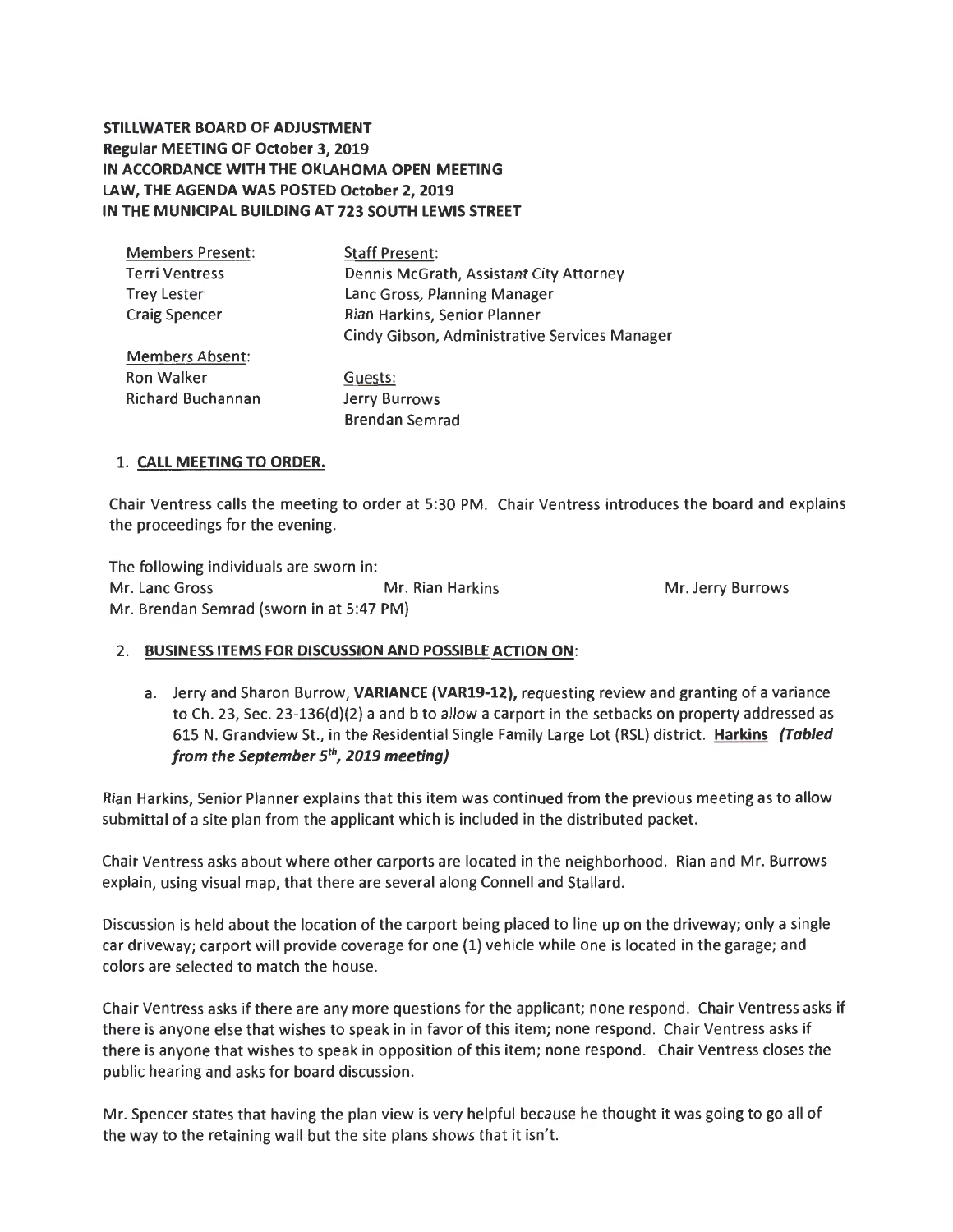**STILLWATER BOARD OF ADJUSTMENT Regular MEETING OF October 3, 2019 IN ACCORDANCE WITH THE OKLAHOMA OPEN MEETING LAW, THE AGENDA WAS POSTED October 2, 2019 IN THE MUNICIPAL BUILDING AT 723 SOUTH LEWIS STREET** 

| <b>Members Present:</b>  | <b>Staff Present:</b>                         |
|--------------------------|-----------------------------------------------|
| <b>Terri Ventress</b>    | Dennis McGrath, Assistant City Attorney       |
| <b>Trey Lester</b>       | Lanc Gross, Planning Manager                  |
| <b>Craig Spencer</b>     | Rian Harkins, Senior Planner                  |
|                          | Cindy Gibson, Administrative Services Manager |
| <b>Members Absent:</b>   |                                               |
| Ron Walker               | Guests:                                       |
| <b>Richard Buchannan</b> | Jerry Burrows                                 |
|                          | <b>Brendan Semrad</b>                         |

# 1. **CALL MEETING TO ORDER.**

Chair Ventress calls the meeting to order at 5:30 PM. Chair Ventress introduces the board and explains the proceedings for the evening.

The following individuals are sworn in: Mr. Lane Gross Mr. Rian Harkins Mr. Jerry Burrows Mr. Brendan Semrad (sworn in at 5:47 PM)

## 2. **BUSINESS ITEMS FOR DISCUSSION AND POSSIBLE ACTION ON:**

a. Jerry and Sharon Burrow, **VARIANCE (VAR19-12),** requesting review and granting of a variance to Ch. 23, Sec. 23-136(d)(2) a and b to allow a carport in the setbacks on property addressed as 615 N. Grandview St., in the Residential Single Family Large Lot (RSL) district. **Harkins (Tabled from the September** *5th,* **2019 meeting)** 

Rian Harkins, Senior Planner explains that this item was continued from the previous meeting as to allow submittal of a site plan from the applicant which is included in the distributed packet.

Chair Ventress asks about where other carports are located in the neighborhood. Rian and Mr. Burrows explain, using visual map, that there are several along Connell and Stallard.

Discussion is held about the location of the carport being placed to line up on the driveway; only a single car driveway; carport will provide coverage for one (1) vehicle while one is located in the garage; and colors are selected to match the house.

Chair Ventress asks if there are any more questions for the applicant; none respond. Chair Ventress asks if there is anyone else that wishes to speak in in favor of this item; none respond. Chair Ventress asks if there is anyone that wishes to speak in opposition of this item; none respond. Chair Ventress closes the public hearing and asks for board discussion.

Mr. Spencer states that having the plan view is very helpful because he thought it was going to go all of the way to the retaining wall but the site plans shows that it isn't.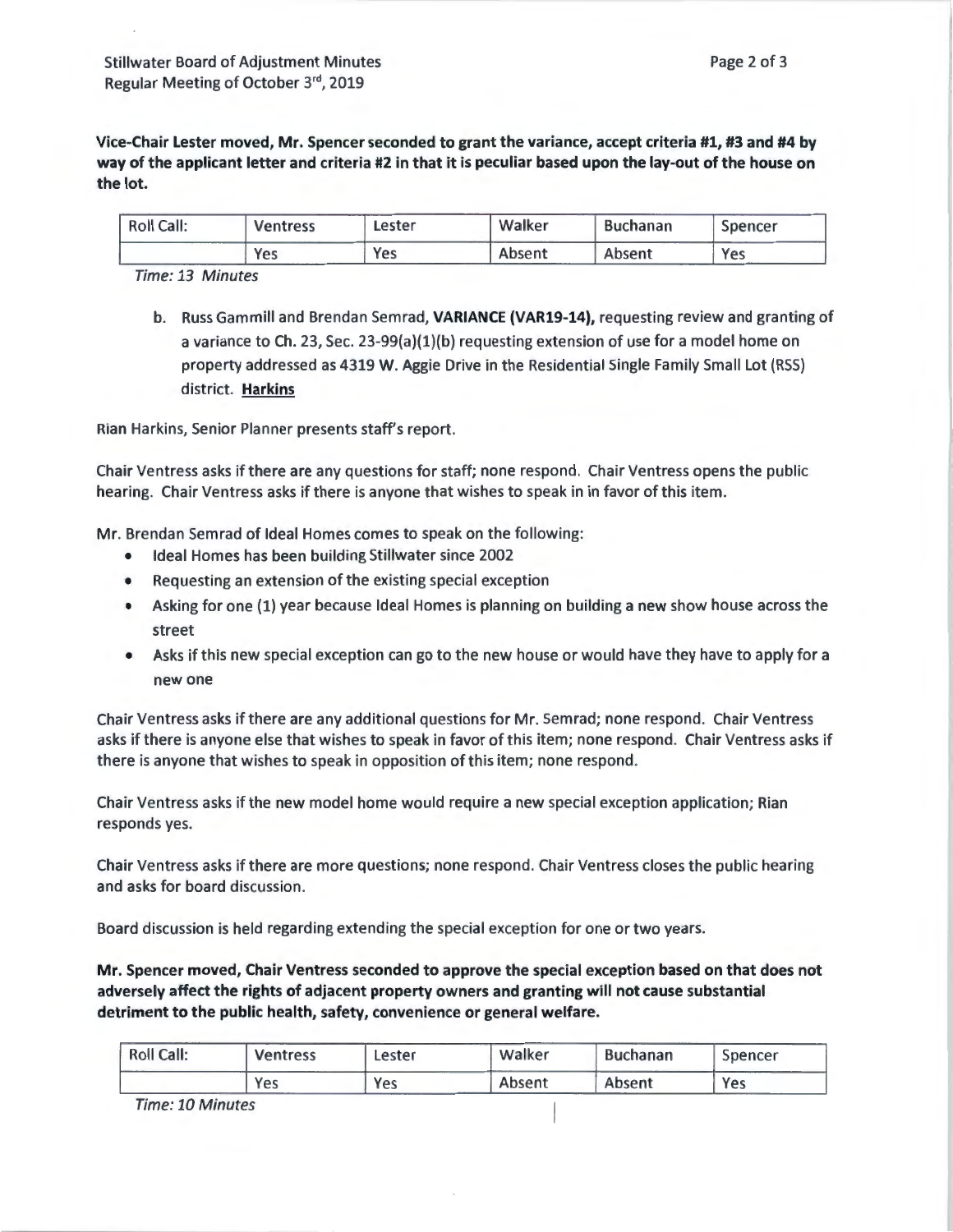**Vice-Chair Lester moved, Mr. Spencer seconded to grant the variance, accept criteria #1, #3 and #4 by way of the applicant letter and criteria #2 in that it is peculiar based upon the lay-out of the house on the lot.** 

| <b>Roll Call:</b> | <b>Ventress</b> | Lester | Walker | <b>Buchanan</b> | Spencer |
|-------------------|-----------------|--------|--------|-----------------|---------|
|                   | Yes             | Yes    | Absent | Absent          | Yes     |

Time: 13 Minutes

b. Russ Gammill and Brendan Semrad, **VARIANCE (VAR19-14),** requesting review and granting of a variance to Ch. 23, Sec. 23-99(a)(1)(b) requesting extension of use for a model home on property addressed as 4319 W. Aggie Drive in the Residential Single Family Small Lot {RSS) district. **Harkins** 

Rian Harkins, Senior Planner presents staff's report.

Chair Ventress asks if there are any questions for staff; none respond. Chair Ventress opens the public hearing. Chair Ventress asks if there is anyone that wishes to speak in in favor of this item.

Mr. Brendan Semrad of Ideal Homes comes to speak on the following:

- Ideal Homes has been building Stillwater since 2002
- Requesting an extension of the existing special exception
- Asking for one {l) year because Ideal Homes is planning on building a new show house across the street
- Asks if this new special exception can go to the new house or would have they have to apply for a new one

Chair Ventress asks if there are any additional questions for Mr. Semrad; none respond. Chair Ventress asks if there is anyone else that wishes to speak in favor of this item; none respond. Chair Ventress asks if there is anyone that wishes to speak in opposition of this item; none respond.

Chair Ventress asks if the new model home would require a new special exception application; Rian responds yes.

Chair Ventress asks if there are more questions; none respond. Chair Ventress closes the public hearing and asks for board discussion.

Board discussion is held regarding extending the special exception for one or two years.

**Mr. Spencer moved, Chair Ventress seconded to approve the special exception based on that does not adversely affect the rights of adjacent property owners and granting will not cause substantial detriment to the public health, safety, convenience or general welfare.** 

| <b>Roll Call:</b> | <b>Ventress</b> | Lester | Walker | <b>Buchanan</b> | Spencer |
|-------------------|-----------------|--------|--------|-----------------|---------|
|                   | Yes             | Yes    | Absent | Absent          | Yes     |

Time: 10 Minutes